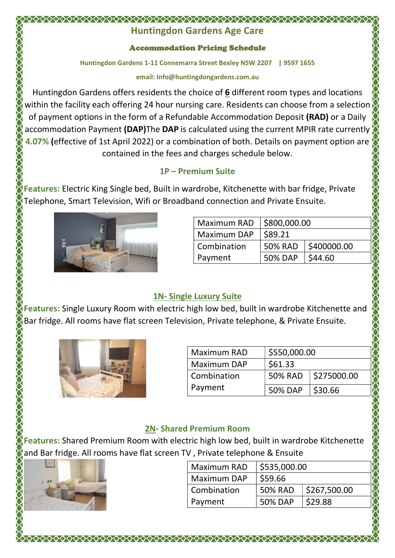#### XXXXXXXXXXXXXXXXXXXXXXXXXXXXXXXXXX Huntingdon Gardens Age Care

#### Accommodation Pricing Schedule

Huntingdon Gardens 1-11 Connemarra Street Bexley NSW 2207 | 9597 1655

#### email: Info@huntingdongardens.com.au

Huntingdon Gardens offers residents the choice of 6 different room types and locations within the facility each offering 24 hour nursing care. Residents can choose from a selection of payment options in the form of a Refundable Accommodation Deposit (RAD) or a Daily accommodation Payment (DAP)The DAP is calculated using the current MPIR rate currently 4.07% (effective of 1st April 2022) or a combination of both. Details on payment option are contained in the fees and charges schedule below.

### 1P – Premium Suite

Features: Electric King Single bed, Built in wardrobe, Kitchenette with bar fridge, Private Telephone, Smart Television, Wifi or Broadband connection and Private Ensuite.



| <b>Maximum RAD</b> | \$800,000.00   |             |  |
|--------------------|----------------|-------------|--|
| Maximum DAP        | \$89.21        |             |  |
| Combination        | 50% RAD        | \$400000.00 |  |
| Payment            | <b>50% DAP</b> | \$44.60     |  |

## 1N- Single Luxury Suite

Features: Single Luxury Room with electric high low bed, built in wardrobe Kitchenette and Bar fridge. All rooms have flat screen Television, Private telephone, & Private Ensuite.



| Maximum RAD | \$550,000.00   |                       |
|-------------|----------------|-----------------------|
| Maximum DAP | \$61.33        |                       |
| Combination |                | 50% RAD   \$275000.00 |
| Payment     | <b>50% DAP</b> | \$30.66               |

## 2N- Shared Premium Room

Features: Shared Premium Room with electric high low bed, built in wardrobe Kitchenette and Bar fridge. All rooms have flat screen TV , Private telephone & Ensuite

| <b>Maximum RAD</b> | \$535,000.00   |              |
|--------------------|----------------|--------------|
| Maximum DAP        | \$59.66        |              |
| Combination        | <b>50% RAD</b> | \$267,500.00 |
| Payment            | <b>50% DAP</b> | \$29.88      |